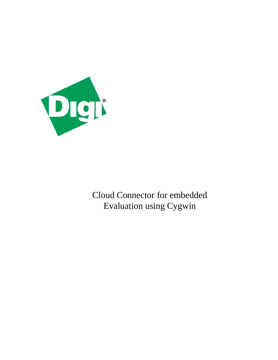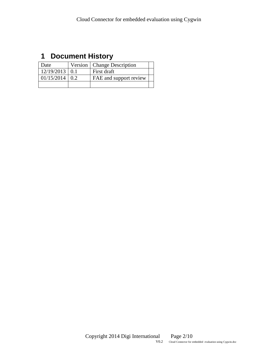# <span id="page-1-0"></span>**1 Document History**

| Date               | Version   Change Description |  |
|--------------------|------------------------------|--|
| $12/19/2013$ 0.1   | First draft                  |  |
| $01/15/2014$   0.2 | FAE and support review       |  |
|                    |                              |  |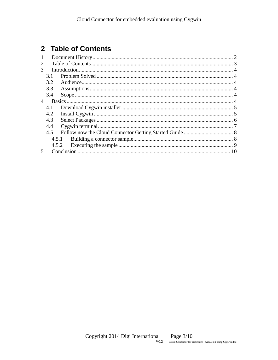# <span id="page-2-0"></span>2 Table of Contents

| 1                           |       |  |  |
|-----------------------------|-------|--|--|
| $\mathcal{D}_{\mathcal{L}}$ |       |  |  |
| 3                           |       |  |  |
|                             | 3.1   |  |  |
|                             | 3.2   |  |  |
|                             | 3.3   |  |  |
|                             | 3.4   |  |  |
| 4                           |       |  |  |
|                             | 4.1   |  |  |
|                             | 4.2   |  |  |
|                             | 4.3   |  |  |
|                             | 4.4   |  |  |
|                             | 4.5   |  |  |
|                             | 4.5.1 |  |  |
|                             |       |  |  |
| $\overline{\mathcal{L}}$    |       |  |  |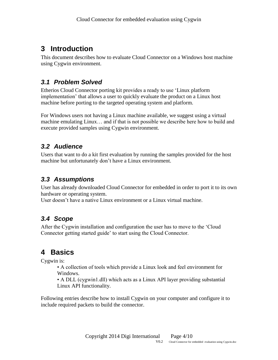# <span id="page-3-0"></span>**3 Introduction**

This document describes how to evaluate Cloud Connector on a Windows host machine using Cygwin environment.

## <span id="page-3-1"></span>*3.1 Problem Solved*

Etherios Cloud Connector porting kit provides a ready to use 'Linux platform implementation' that allows a user to quickly evaluate the product on a Linux host machine before porting to the targeted operating system and platform.

For Windows users not having a Linux machine available, we suggest using a virtual machine emulating Linux… and if that is not possible we describe here how to build and execute provided samples using Cygwin environment.

### <span id="page-3-2"></span>*3.2 Audience*

Users that want to do a kit first evaluation by running the samples provided for the host machine but unfortunately don't have a Linux environment.

## <span id="page-3-3"></span>*3.3 Assumptions*

User has already downloaded Cloud Connector for embedded in order to port it to its own hardware or operating system.

User doesn't have a native Linux environment or a Linux virtual machine.

## <span id="page-3-4"></span>*3.4 Scope*

After the Cygwin installation and configuration the user has to move to the 'Cloud Connector getting started guide' to start using the Cloud Connector.

# <span id="page-3-5"></span>**4 Basics**

Cygwin is:

• A collection of tools which provide a Linux look and feel environment for Windows.

• A DLL (cygwin1.dll) which acts as a Linux API layer providing substantial Linux API functionality.

Following entries describe how to install Cygwin on your computer and configure it to include required packets to build the connector.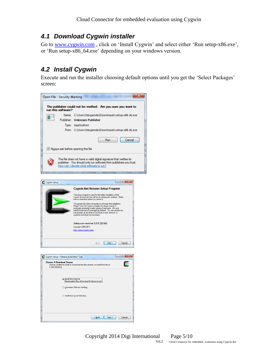### <span id="page-4-0"></span>*4.1 Download Cygwin installer*

Go to [www.cygwin.com](http://www.cygwin.com/), click on 'Install Cygwin' and select either 'Run [setup-x86.exe'](http://cygwin.com/setup-x86.exe), or 'Run [setup-x86\\_64.exe'](http://cygwin.com/setup-x86_64.exe) depending on your windows version.

## <span id="page-4-1"></span>*4.2 Install Cygwin*

Execute and run the installer choosing default options until you get the 'Select Packages' screen:



Copyright 2014 Digi International Page 5/10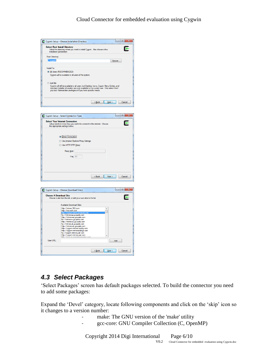





### <span id="page-5-0"></span>*4.3 Select Packages*

'Select Packages' screen has default packages selected. To build the connector you need to add some packages:

Expand the 'Devel' category, locate following components and click on the 'skip' icon so it changes to a version number:

- make: The GNU version of the 'make' utility
- gcc-core: GNU Compiler Collection (C, OpenMP)

Copyright 2014 Digi International Page 6/10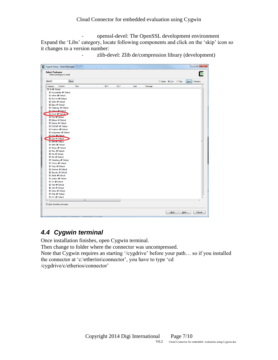- openssl-devel: The OpenSSL development environment Expand the 'Libs' category, locate following components and click on the 'skip' icon so it changes to a version number:

Cygwin Setup - Select Packages Select Packages<br>Select packages to install E  $\boxed{\underline{\text{Clear}}}$ Search Eeep O Curr Ego View Category Category Current Package New  $Bin<sub>2</sub>$ Src? Size El Accessibility O Default FI Admin C Default El Archive O Default Fl Audio O Default El Base O Default El Database O Default<br>El Debug O Default **El Devel O Default** FLDoc At Default El Editors O Default FLGames O Default El GNOME O Default El Graphics O Default El Interpreters O Default EL KDE O Default El Libs O Default El Mail O' Default FL Math. C. Default. El Mingw O Default Fi Misc C Default El Net O Default El Perl O Default El Publishing O Default El Python O Default El Ruby O Default El Science O Default FL Security & Default El Shells O Default El System O Default<br>El Tcl O Default  $\boxplus$  Text  $\Diamond$  Default El Utils O Default El Video O Default El Web O Default El X11 O Default Hide obsolete packages  $\sqrt{\frac{B}{2}}$   $\sqrt{\frac{B}{2}}$   $\sqrt{\frac{B}{2}}$   $\sqrt{\frac{B}{2}}$   $\sqrt{\frac{B}{2}}$   $\sqrt{\frac{B}{2}}$   $\sqrt{\frac{B}{2}}$ 

zlib-devel: Zlib de/compression library (development)

### <span id="page-6-0"></span>*4.4 Cygwin terminal*

Once installation finishes, open Cygwin terminal.

Then change to folder where the connector was uncompressed.

Note that Cygwin requires an starting '/cygdrive' before your path… so if you installed the connector at 'c:\etherios\connector', you have to type 'cd /cygdrive/c/etherios/connector'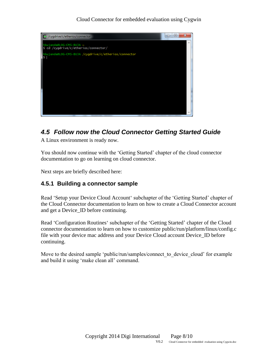

### <span id="page-7-0"></span>*4.5 Follow now the Cloud Connector Getting Started Guide*

A Linux environment is ready now.

You should now continue with the 'Getting Started' chapter of the cloud connector documentation to go on learning on cloud connector.

Next steps are briefly described here:

### <span id="page-7-1"></span>**4.5.1 Building a connector sample**

Read 'Setup your Device Cloud Account' subchapter of the 'Getting Started' chapter of the Cloud Connector documentation to learn on how to create a Cloud Connector account and get a Device\_ID before continuing.

Read 'Configuration Routines' subchapter of the 'Getting Started' chapter of the Cloud connector documentation to learn on how to customize public/run/platform/linux/config.c file with your device mac address and your Device Cloud account Device\_ID before continuing.

Move to the desired sample 'public/run/samples/connect to device cloud' for example and build it using 'make clean all' command.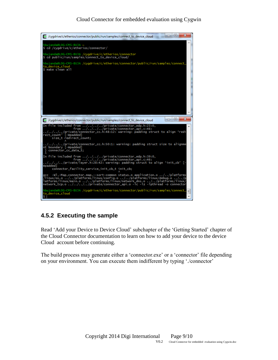

### <span id="page-8-0"></span>**4.5.2 Executing the sample**

Read 'Add your Device to Device Cloud' subchapter of the 'Getting Started' chapter of the Cloud Connector documentation to learn on how to add your device to the device Cloud account before continuing.

The build process may generate either a 'connector.exe' or a 'connector' file depending on your environment. You can execute them indifferent by typing './connector'